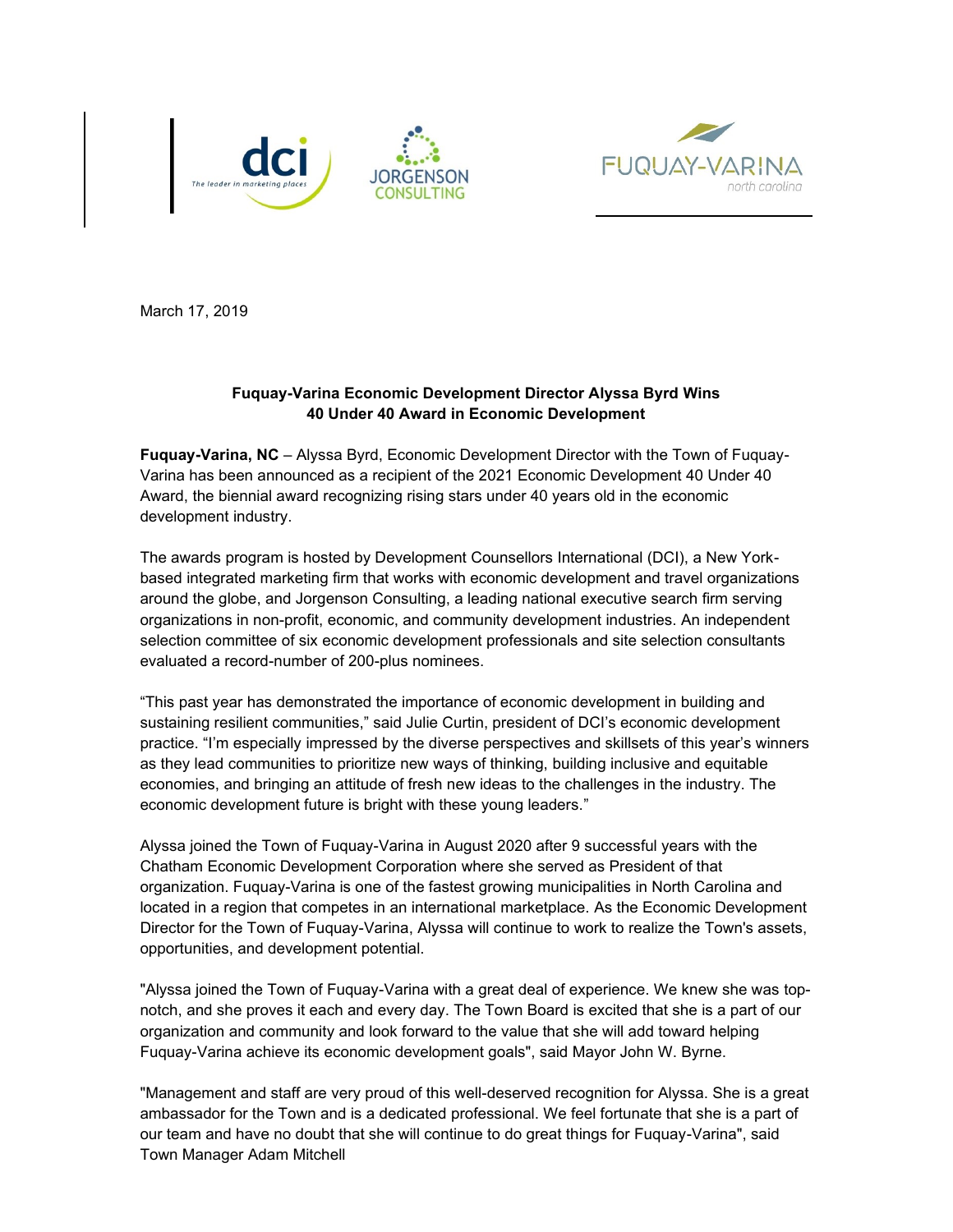



March 17, 2019

## **Fuquay-Varina Economic Development Director Alyssa Byrd Wins 40 Under 40 Award in Economic Development**

**Fuquay-Varina, NC** – Alyssa Byrd, Economic Development Director with the Town of Fuquay-Varina has been announced as a recipient of the 2021 Economic Development 40 Under 40 Award, the biennial award recognizing rising stars under 40 years old in the economic development industry.

The awards program is hosted by Development Counsellors International (DCI), a New Yorkbased integrated marketing firm that works with economic development and travel organizations around the globe, and Jorgenson Consulting, a leading national executive search firm serving organizations in non-profit, economic, and community development industries. An independent selection committee of six economic development professionals and site selection consultants evaluated a record-number of 200-plus nominees.

"This past year has demonstrated the importance of economic development in building and sustaining resilient communities," said Julie Curtin, president of DCI's economic development practice. "I'm especially impressed by the diverse perspectives and skillsets of this year's winners as they lead communities to prioritize new ways of thinking, building inclusive and equitable economies, and bringing an attitude of fresh new ideas to the challenges in the industry. The economic development future is bright with these young leaders."

Alyssa joined the Town of Fuquay-Varina in August 2020 after 9 successful years with the Chatham Economic Development Corporation where she served as President of that organization. Fuquay-Varina is one of the fastest growing municipalities in North Carolina and located in a region that competes in an international marketplace. As the Economic Development Director for the Town of Fuquay-Varina, Alyssa will continue to work to realize the Town's assets, opportunities, and development potential.

"Alyssa joined the Town of Fuquay-Varina with a great deal of experience. We knew she was topnotch, and she proves it each and every day. The Town Board is excited that she is a part of our organization and community and look forward to the value that she will add toward helping Fuquay-Varina achieve its economic development goals", said Mayor John W. Byrne.

"Management and staff are very proud of this well-deserved recognition for Alyssa. She is a great ambassador for the Town and is a dedicated professional. We feel fortunate that she is a part of our team and have no doubt that she will continue to do great things for Fuquay-Varina", said Town Manager Adam Mitchell